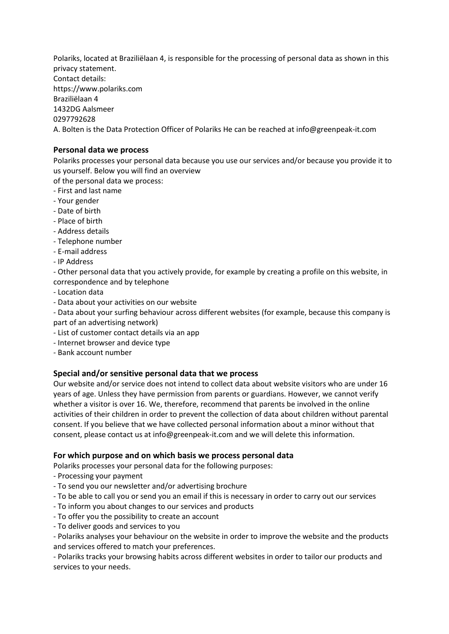Polariks, located at Braziliëlaan 4, is responsible for the processing of personal data as shown in this privacy statement. Contact details: https://www.polariks.com Braziliëlaan 4 1432DG Aalsmeer 0297792628 A. Bolten is the Data Protection Officer of Polariks He can be reached at info@greenpeak-it.com

## **Personal data we process**

Polariks processes your personal data because you use our services and/or because you provide it to us yourself. Below you will find an overview

- of the personal data we process:
- First and last name
- Your gender
- Date of birth
- Place of birth
- Address details
- Telephone number
- E-mail address
- IP Address

- Other personal data that you actively provide, for example by creating a profile on this website, in correspondence and by telephone

- Location data
- Data about your activities on our website

- Data about your surfing behaviour across different websites (for example, because this company is part of an advertising network)

- List of customer contact details via an app
- Internet browser and device type
- Bank account number

# **Special and/or sensitive personal data that we process**

Our website and/or service does not intend to collect data about website visitors who are under 16 years of age. Unless they have permission from parents or guardians. However, we cannot verify whether a visitor is over 16. We, therefore, recommend that parents be involved in the online activities of their children in order to prevent the collection of data about children without parental consent. If you believe that we have collected personal information about a minor without that consent, please contact us at info@greenpeak-it.com and we will delete this information.

### **For which purpose and on which basis we process personal data**

Polariks processes your personal data for the following purposes:

- Processing your payment
- To send you our newsletter and/or advertising brochure
- To be able to call you or send you an email if this is necessary in order to carry out our services
- To inform you about changes to our services and products
- To offer you the possibility to create an account
- To deliver goods and services to you

- Polariks analyses your behaviour on the website in order to improve the website and the products and services offered to match your preferences.

- Polariks tracks your browsing habits across different websites in order to tailor our products and services to your needs.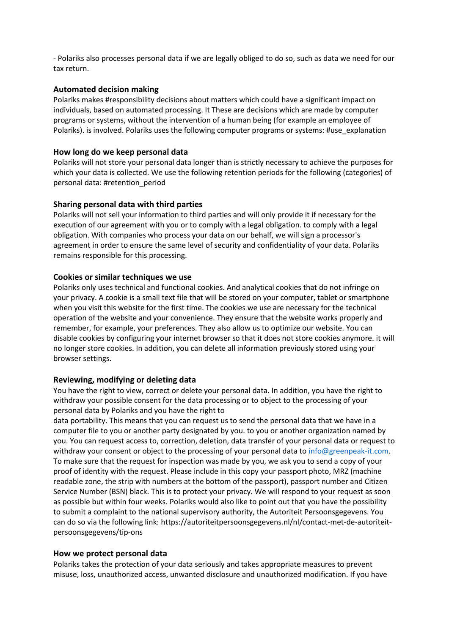- Polariks also processes personal data if we are legally obliged to do so, such as data we need for our tax return.

#### **Automated decision making**

Polariks makes #responsibility decisions about matters which could have a significant impact on individuals, based on automated processing. It These are decisions which are made by computer programs or systems, without the intervention of a human being (for example an employee of Polariks). is involved. Polariks uses the following computer programs or systems: #use\_explanation

#### **How long do we keep personal data**

Polariks will not store your personal data longer than is strictly necessary to achieve the purposes for which your data is collected. We use the following retention periods for the following (categories) of personal data: #retention\_period

#### **Sharing personal data with third parties**

Polariks will not sell your information to third parties and will only provide it if necessary for the execution of our agreement with you or to comply with a legal obligation. to comply with a legal obligation. With companies who process your data on our behalf, we will sign a processor's agreement in order to ensure the same level of security and confidentiality of your data. Polariks remains responsible for this processing.

#### **Cookies or similar techniques we use**

Polariks only uses technical and functional cookies. And analytical cookies that do not infringe on your privacy. A cookie is a small text file that will be stored on your computer, tablet or smartphone when you visit this website for the first time. The cookies we use are necessary for the technical operation of the website and your convenience. They ensure that the website works properly and remember, for example, your preferences. They also allow us to optimize our website. You can disable cookies by configuring your internet browser so that it does not store cookies anymore. it will no longer store cookies. In addition, you can delete all information previously stored using your browser settings.

#### **Reviewing, modifying or deleting data**

You have the right to view, correct or delete your personal data. In addition, you have the right to withdraw your possible consent for the data processing or to object to the processing of your personal data by Polariks and you have the right to

data portability. This means that you can request us to send the personal data that we have in a computer file to you or another party designated by you. to you or another organization named by you. You can request access to, correction, deletion, data transfer of your personal data or request to withdraw your consent or object to the processing of your personal data to [info@greenpeak-it.com.](mailto:info@greenpeak-it.com) To make sure that the request for inspection was made by you, we ask you to send a copy of your proof of identity with the request. Please include in this copy your passport photo, MRZ (machine readable zone, the strip with numbers at the bottom of the passport), passport number and Citizen Service Number (BSN) black. This is to protect your privacy. We will respond to your request as soon as possible but within four weeks. Polariks would also like to point out that you have the possibility to submit a complaint to the national supervisory authority, the Autoriteit Persoonsgegevens. You can do so via the following link: https://autoriteitpersoonsgegevens.nl/nl/contact-met-de-autoriteitpersoonsgegevens/tip-ons

#### **How we protect personal data**

Polariks takes the protection of your data seriously and takes appropriate measures to prevent misuse, loss, unauthorized access, unwanted disclosure and unauthorized modification. If you have